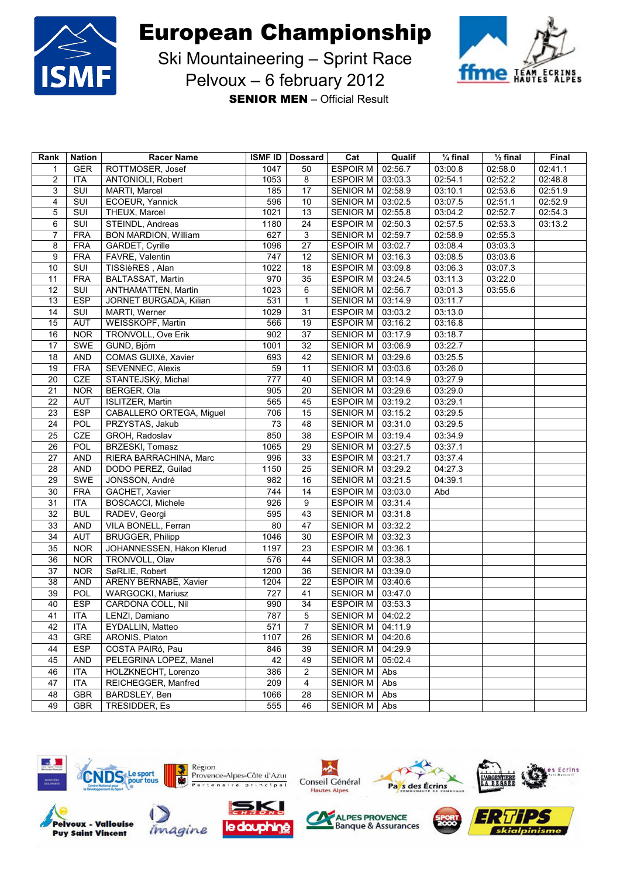



Ski Mountaineering – Sprint Race Pelvoux – 6 february 2012

**SENIOR MEN** – Official Result

| Rank           | <b>Nation</b> | <b>Racer Name</b>           |      | <b>ISMF ID   Dossard</b> | Cat                | Qualif  | $\frac{1}{4}$ final | $\frac{1}{2}$ final | Final   |
|----------------|---------------|-----------------------------|------|--------------------------|--------------------|---------|---------------------|---------------------|---------|
| 1              | <b>GER</b>    | ROTTMOSER, Josef            | 1047 | 50                       | <b>ESPOIR M</b>    | 02:56.7 | 03:00.8             | 02:58.0             | 02:41.1 |
| $\overline{2}$ | <b>ITA</b>    | ANTONIOLI, Robert           | 1053 | 8                        | <b>ESPOIR M</b>    | 03:03.3 | 02:54.1             | 02:52.2             | 02:48.8 |
| 3              | SUI           | MARTI, Marcel               | 185  | 17                       | <b>SENIOR M</b>    | 02:58.9 | 03:10.1             | 02:53.6             | 02:51.9 |
| $\overline{4}$ | SUI           | ECOEUR, Yannick             | 596  | 10                       | SENIOR M           | 03:02.5 | 03:07.5             | 02:51.1             | 02:52.9 |
| 5              | SUI           | THEUX, Marcel               | 1021 | 13                       | SENIOR M           | 02:55.8 | 03:04.2             | 02:52.7             | 02:54.3 |
| 6              | SUI           | STEINDL, Andreas            | 1180 | 24                       | ESPOIR M           | 02:50.3 | 02:57.5             | 02:53.3             | 03:13.2 |
| 7              | <b>FRA</b>    | <b>BON MARDION, William</b> | 627  | 3                        | <b>SENIOR M</b>    | 02:59.7 | 02:58.9             | 02:55.3             |         |
| 8              | <b>FRA</b>    | GARDET, Cyrille             | 1096 | 27                       | ESPOIR M           | 03:02.7 | 03:08.4             | 03:03.3             |         |
| 9              | <b>FRA</b>    | FAVRE, Valentin             | 747  | 12                       | SENIOR M           | 03:16.3 | 03:08.5             | 03:03.6             |         |
| 10             | SUI           | TISSIèRES, Alan             | 1022 | 18                       | <b>ESPOIR M</b>    | 03:09.8 | 03:06.3             | 03:07.3             |         |
| 11             | <b>FRA</b>    | BALTASSAT, Martin           | 970  | 35                       | <b>ESPOIR M</b>    | 03:24.5 | 03:11.3             | 03:22.0             |         |
| 12             | SUI           | ANTHAMATTEN, Martin         | 1023 | 6                        | SENIOR M           | 02:56.7 | 03:01.3             | 03:55.6             |         |
| 13             | <b>ESP</b>    | JORNET BURGADA, Kilian      | 531  | $\mathbf{1}$             | SENIOR M   03:14.9 |         | 03:11.7             |                     |         |
| 14             | SUI           | MARTI, Werner               | 1029 | 31                       | <b>ESPOIR M</b>    | 03:03.2 | 03:13.0             |                     |         |
| 15             | <b>AUT</b>    | WEISSKOPF, Martin           | 566  | 19                       | ESPOIR M           | 03:16.2 | 03:16.8             |                     |         |
| 16             | <b>NOR</b>    | TRONVOLL, Ove Erik          | 902  | 37                       | <b>SENIOR M</b>    | 03:17.9 | 03:18.7             |                     |         |
| 17             | SWE           | GUND, Björn                 | 1001 | 32                       | SENIOR M           | 03:06.9 | 03:22.7             |                     |         |
| 18             | <b>AND</b>    | COMAS GUIXé, Xavier         | 693  | 42                       | SENIOR M           | 03:29.6 | 03:25.5             |                     |         |
| 19             | <b>FRA</b>    | <b>SEVENNEC, Alexis</b>     | 59   | 11                       | <b>SENIOR M</b>    | 03:03.6 | 03:26.0             |                     |         |
| 20             | CZE           | STANTEJSKý, Michal          | 777  | 40                       | SENIOR M           | 03:14.9 | 03:27.9             |                     |         |
| 21             | <b>NOR</b>    | BERGER, Ola                 | 905  | 20                       | <b>SENIOR M</b>    | 03:29.6 | 03:29.0             |                     |         |
| 22             | <b>AUT</b>    | <b>ISLITZER, Martin</b>     | 565  | 45                       | <b>ESPOIR M</b>    | 03:19.2 | 03:29.1             |                     |         |
| 23             | <b>ESP</b>    | CABALLERO ORTEGA, Miguel    | 706  | 15                       | SENIOR M           | 03:15.2 | 03:29.5             |                     |         |
| 24             | POL           | PRZYSTAS, Jakub             | 73   | 48                       | SENIOR M           | 03:31.0 | 03:29.5             |                     |         |
| 25             | CZE           | GROH, Radoslav              | 850  | 38                       | ESPOIR M           | 03:19.4 | 03:34.9             |                     |         |
| 26             | POL           | BRZESKI, Tomasz             | 1065 | 29                       | <b>SENIOR M</b>    | 03:27.5 | 03:37.1             |                     |         |
| 27             | <b>AND</b>    | RIERA BARRACHINA, Marc      | 996  | 33                       | <b>ESPOIR M</b>    | 03:21.7 | 03:37.4             |                     |         |
| 28             | <b>AND</b>    | DODO PEREZ, Guilad          | 1150 | 25                       | SENIOR M           | 03:29.2 | 04:27.3             |                     |         |
| 29             | SWE           | JONSSON, André              | 982  | 16                       | SENIOR M           | 03:21.5 | 04:39.1             |                     |         |
| 30             | <b>FRA</b>    | GACHET, Xavier              | 744  | 14                       | <b>ESPOIR M</b>    | 03:03.0 | Abd                 |                     |         |
| 31             | <b>ITA</b>    | <b>BOSCACCI, Michele</b>    | 926  | 9                        | <b>ESPOIR M</b>    | 03:31.4 |                     |                     |         |
| 32             | <b>BUL</b>    | RADEV, Georgi               | 595  | 43                       | SENIOR M           | 03:31.8 |                     |                     |         |
| 33             | <b>AND</b>    | VILA BONELL, Ferran         | 80   | 47                       | SENIOR M           | 03:32.2 |                     |                     |         |
| 34             | <b>AUT</b>    | <b>BRUGGER, Philipp</b>     | 1046 | 30                       | <b>ESPOIR M</b>    | 03:32.3 |                     |                     |         |
| 35             | <b>NOR</b>    | JOHANNESSEN, Håkon Klerud   | 1197 | 23                       | <b>ESPOIR M</b>    | 03:36.1 |                     |                     |         |
| 36             | <b>NOR</b>    | TRONVOLL, Olav              | 576  | 44                       | <b>SENIOR M</b>    | 03:38.3 |                     |                     |         |
| 37             | <b>NOR</b>    | SøRLIE, Robert              | 1200 | 36                       | SENIOR M           | 03:39.0 |                     |                     |         |
| 38             | <b>AND</b>    | ARENY BERNABÉ, Xavier       | 1204 | 22                       | <b>ESPOIR M</b>    | 03:40.6 |                     |                     |         |
| 39             | POL           | WARGOCKI, Mariusz           | 727  | 41                       | SENIOR M           | 03:47.0 |                     |                     |         |
| 40             | <b>ESP</b>    | CARDONA COLL, Nil           | 990  | 34                       | <b>ESPOIR M</b>    | 03:53.3 |                     |                     |         |
| 41             | ITA           | LENZI, Damiano              | 787  | 5                        | SENIOR M           | 04:02.2 |                     |                     |         |
| 42             | <b>ITA</b>    | EYDALLIN, Matteo            | 571  | $\overline{7}$           | SENIOR M           | 04:11.9 |                     |                     |         |
| 43             | GRE           | ARONIS, Platon              | 1107 | 26                       | SENIOR M           | 04:20.6 |                     |                     |         |
| 44             | <b>ESP</b>    | COSTA PAIRó, Pau            | 846  | 39                       | SENIOR M           | 04:29.9 |                     |                     |         |
| 45             | <b>AND</b>    | PELEGRINA LOPEZ, Manel      | 42   | 49                       | SENIOR M           | 05:02.4 |                     |                     |         |
| 46             | <b>ITA</b>    | HOLZKNECHT, Lorenzo         | 386  | 2                        | SENIOR M           | Abs     |                     |                     |         |
| 47             | ITA           | REICHEGGER, Manfred         | 209  | $\overline{4}$           | <b>SENIOR M</b>    | Abs     |                     |                     |         |
| 48             | GBR           | BARDSLEY, Ben               | 1066 | 28                       | <b>SENIOR M</b>    | Abs     |                     |                     |         |
| 49             | <b>GBR</b>    | TRESIDDER, Es               | 555  | 46                       | <b>SENIOR M</b>    | Abs     |                     |                     |         |





















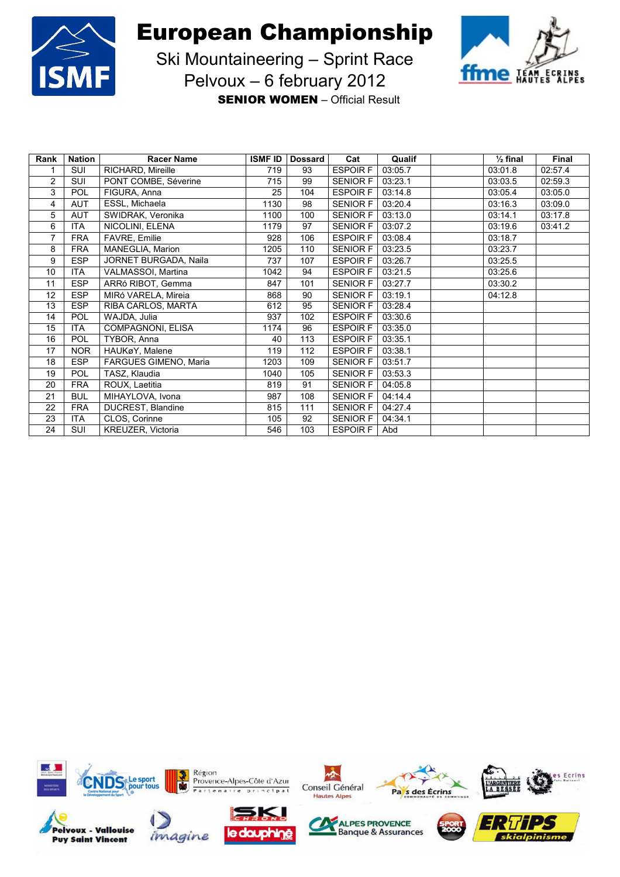



Ski Mountaineering – Sprint Race Pelvoux – 6 february 2012

**SENIOR WOMEN** – Official Result

| Rank           | <b>Nation</b> | <b>Racer Name</b>     | <b>ISMF ID</b> | <b>Dossard</b> | Cat             | Qualif  | $\frac{1}{2}$ final | <b>Final</b> |
|----------------|---------------|-----------------------|----------------|----------------|-----------------|---------|---------------------|--------------|
|                | SUI           | RICHARD, Mireille     | 719            | 93             | <b>ESPOIRF</b>  | 03:05.7 | 03:01.8             | 02:57.4      |
| $\overline{2}$ | SUI           | PONT COMBE, Séverine  | 715            | 99             | <b>SENIOR F</b> | 03:23.1 | 03:03.5             | 02:59.3      |
| 3              | <b>POL</b>    | FIGURA, Anna          | 25             | 104            | <b>ESPOIRF</b>  | 03:14.8 | 03:05.4             | 03:05.0      |
| 4              | <b>AUT</b>    | ESSL, Michaela        | 1130           | 98             | <b>SENIOR F</b> | 03:20.4 | 03:16.3             | 03:09.0      |
| 5              | <b>AUT</b>    | SWIDRAK, Veronika     | 1100           | 100            | <b>SENIOR F</b> | 03:13.0 | 03:14.1             | 03:17.8      |
| 6              | <b>ITA</b>    | NICOLINI, ELENA       | 1179           | 97             | <b>SENIOR F</b> | 03:07.2 | 03:19.6             | 03:41.2      |
| 7              | <b>FRA</b>    | FAVRE, Emilie         | 928            | 106            | <b>ESPOIRF</b>  | 03:08.4 | 03:18.7             |              |
| 8              | <b>FRA</b>    | MANEGLIA, Marion      | 1205           | 110            | <b>SENIOR F</b> | 03:23.5 | 03:23.7             |              |
| 9              | <b>ESP</b>    | JORNET BURGADA, Naila | 737            | 107            | <b>ESPOIRF</b>  | 03:26.7 | 03:25.5             |              |
| 10             | <b>ITA</b>    | VALMASSOI, Martina    | 1042           | 94             | <b>ESPOIRF</b>  | 03:21.5 | 03:25.6             |              |
| 11             | <b>ESP</b>    | ARRó RIBOT, Gemma     | 847            | 101            | <b>SENIOR F</b> | 03:27.7 | 03:30.2             |              |
| 12             | <b>ESP</b>    | MIRó VARELA, Mireia   | 868            | 90             | <b>SENIOR F</b> | 03:19.1 | 04:12.8             |              |
| 13             | <b>ESP</b>    | RIBA CARLOS, MARTA    | 612            | 95             | <b>SENIOR F</b> | 03:28.4 |                     |              |
| 14             | POL           | WAJDA, Julia          | 937            | 102            | <b>ESPOIRF</b>  | 03:30.6 |                     |              |
| 15             | <b>ITA</b>    | COMPAGNONI, ELISA     | 1174           | 96             | <b>ESPOIRF</b>  | 03:35.0 |                     |              |
| 16             | <b>POL</b>    | TYBOR, Anna           | 40             | 113            | <b>ESPOIRF</b>  | 03:35.1 |                     |              |
| 17             | <b>NOR</b>    | HAUKøY, Malene        | 119            | 112            | <b>ESPOIRF</b>  | 03:38.1 |                     |              |
| 18             | <b>ESP</b>    | FARGUES GIMENO, Maria | 1203           | 109            | <b>SENIOR F</b> | 03:51.7 |                     |              |
| 19             | <b>POL</b>    | TASZ, Klaudia         | 1040           | 105            | <b>SENIOR F</b> | 03:53.3 |                     |              |
| 20             | <b>FRA</b>    | ROUX, Laetitia        | 819            | 91             | <b>SENIOR F</b> | 04:05.8 |                     |              |
| 21             | <b>BUL</b>    | MIHAYLOVA, Ivona      | 987            | 108            | <b>SENIOR F</b> | 04:14.4 |                     |              |
| 22             | <b>FRA</b>    | DUCREST, Blandine     | 815            | 111            | <b>SENIOR F</b> | 04:27.4 |                     |              |
| 23             | <b>ITA</b>    | CLOS, Corinne         | 105            | 92             | <b>SENIOR F</b> | 04:34.1 |                     |              |
| 24             | <b>SUI</b>    | KREUZER, Victoria     | 546            | 103            | <b>ESPOIRF</b>  | Abd     |                     |              |



imagine

**Puy Saint Vincent**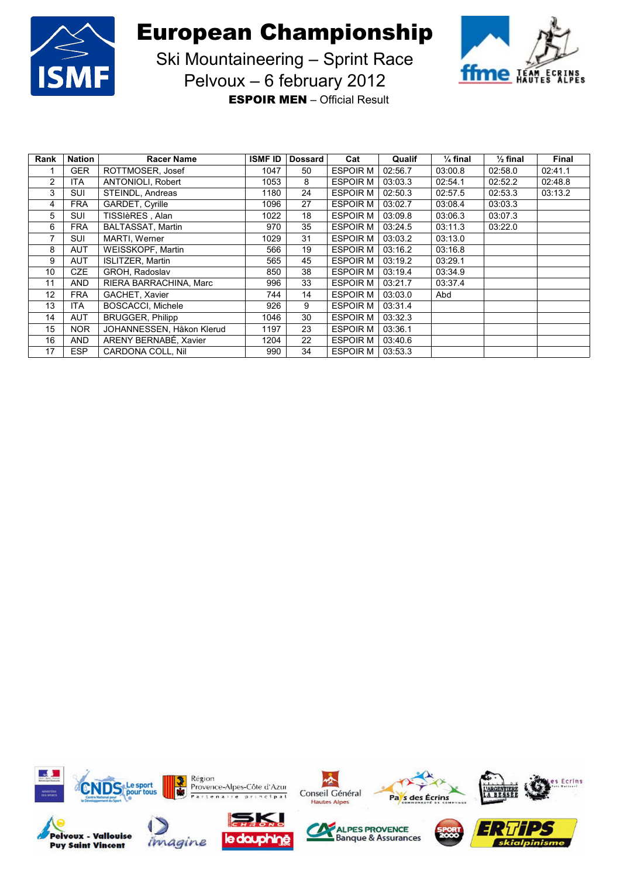



Ski Mountaineering – Sprint Race Pelvoux – 6 february 2012

**ESPOIR MEN** – Official Result

| Rank | <b>Nation</b> | <b>Racer Name</b>         | <b>ISMF ID</b> | <b>Dossard</b> | Cat             | Qualif  | $\frac{1}{4}$ final | $\frac{1}{2}$ final | <b>Final</b> |
|------|---------------|---------------------------|----------------|----------------|-----------------|---------|---------------------|---------------------|--------------|
|      | <b>GER</b>    | ROTTMOSER, Josef          | 1047           | 50             | <b>ESPOIR M</b> | 02:56.7 | 03:00.8             | 02:58.0             | 02:41.1      |
| 2    | <b>ITA</b>    | ANTONIOLI, Robert         | 1053           | 8              | <b>ESPOIR M</b> | 03:03.3 | 02:54.1             | 02:52.2             | 02:48.8      |
| 3    | <b>SUI</b>    | STEINDL, Andreas          | 1180           | 24             | <b>ESPOIR M</b> | 02:50.3 | 02:57.5             | 02:53.3             | 03:13.2      |
| 4    | <b>FRA</b>    | GARDET, Cyrille           | 1096           | 27             | <b>ESPOIR M</b> | 03:02.7 | 03:08.4             | 03:03.3             |              |
| 5    | <b>SUI</b>    | TISSIèRES, Alan           | 1022           | 18             | <b>ESPOIR M</b> | 03:09.8 | 03:06.3             | 03:07.3             |              |
| 6    | <b>FRA</b>    | <b>BALTASSAT, Martin</b>  | 970            | 35             | <b>ESPOIR M</b> | 03:24.5 | 03:11.3             | 03:22.0             |              |
| 7    | <b>SUI</b>    | MARTI, Werner             | 1029           | 31             | <b>ESPOIR M</b> | 03:03.2 | 03:13.0             |                     |              |
| 8    | <b>AUT</b>    | WEISSKOPF, Martin         | 566            | 19             | <b>ESPOIR M</b> | 03:16.2 | 03:16.8             |                     |              |
| 9    | <b>AUT</b>    | <b>ISLITZER, Martin</b>   | 565            | 45             | <b>ESPOIR M</b> | 03:19.2 | 03:29.1             |                     |              |
| 10   | <b>CZE</b>    | <b>GROH. Radoslav</b>     | 850            | 38             | <b>ESPOIR M</b> | 03:19.4 | 03:34.9             |                     |              |
| 11   | <b>AND</b>    | RIERA BARRACHINA, Marc    | 996            | 33             | <b>ESPOIR M</b> | 03:21.7 | 03:37.4             |                     |              |
| 12   | <b>FRA</b>    | GACHET, Xavier            | 744            | 14             | <b>ESPOIR M</b> | 03:03.0 | Abd                 |                     |              |
| 13   | <b>ITA</b>    | <b>BOSCACCI, Michele</b>  | 926            | 9              | <b>ESPOIR M</b> | 03:31.4 |                     |                     |              |
| 14   | <b>AUT</b>    | <b>BRUGGER, Philipp</b>   | 1046           | 30             | <b>ESPOIR M</b> | 03:32.3 |                     |                     |              |
| 15   | <b>NOR</b>    | JOHANNESSEN, Håkon Klerud | 1197           | 23             | <b>ESPOIR M</b> | 03:36.1 |                     |                     |              |
| 16   | <b>AND</b>    | ARENY BERNABÉ, Xavier     | 1204           | 22             | <b>ESPOIR M</b> | 03:40.6 |                     |                     |              |
| 17   | <b>ESP</b>    | CARDONA COLL, Nil         | 990            | 34             | <b>ESPOIR M</b> | 03:53.3 |                     |                     |              |

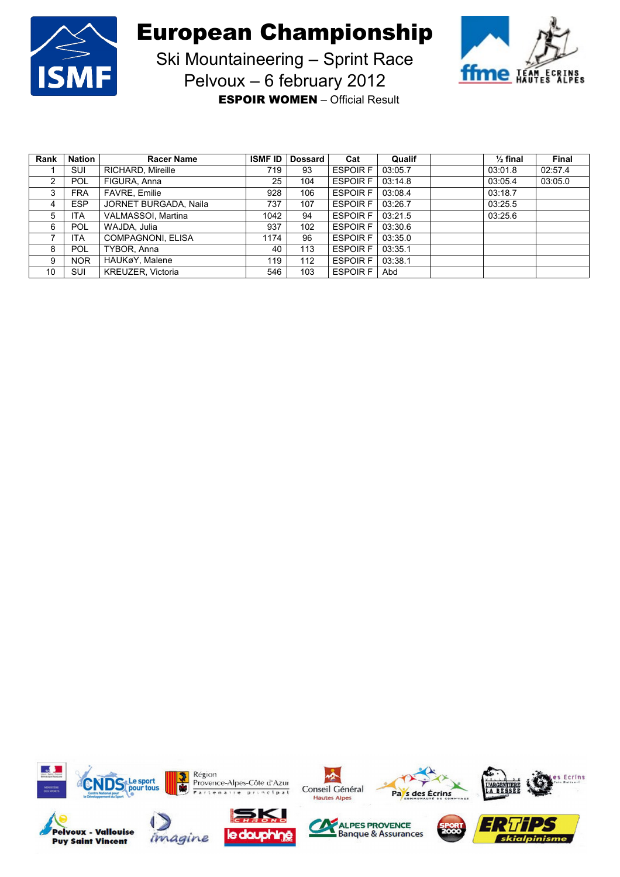

**Puy Saint Vincent** 

European Championship



Ski Mountaineering – Sprint Race Pelvoux – 6 february 2012

**ESPOIR WOMEN** – Official Result

| Rank | <b>Nation</b> | <b>Racer Name</b>     | <b>ISMF ID</b> | <b>Dossard</b> | Cat             | Qualif  | $\frac{1}{2}$ final | Final   |
|------|---------------|-----------------------|----------------|----------------|-----------------|---------|---------------------|---------|
|      | <b>SUI</b>    | RICHARD, Mireille     | 719            | 93             | <b>ESPOIR F</b> | 03:05.7 | 03:01.8             | 02:57.4 |
| 2    | <b>POL</b>    | FIGURA, Anna          | 25             | 104            | <b>ESPOIR F</b> | 03:14.8 | 03:05.4             | 03:05.0 |
| 3    | <b>FRA</b>    | <b>FAVRE, Emilie</b>  | 928            | 106            | <b>ESPOIR F</b> | 03:08.4 | 03:18.7             |         |
| 4    | <b>ESP</b>    | JORNET BURGADA, Naila | 737            | 107            | <b>ESPOIR F</b> | 03:26.7 | 03:25.5             |         |
| 5    | <b>ITA</b>    | VALMASSOI, Martina    | 1042           | 94             | <b>ESPOIR F</b> | 03:21.5 | 03:25.6             |         |
| 6    | <b>POL</b>    | WAJDA, Julia          | 937            | 102            | <b>ESPOIR F</b> | 03:30.6 |                     |         |
|      | <b>ITA</b>    | COMPAGNONI, ELISA     | 1174           | 96             | <b>ESPOIR F</b> | 03:35.0 |                     |         |
| 8    | <b>POL</b>    | TYBOR, Anna           | 40             | 113            | <b>ESPOIR F</b> | 03:35.1 |                     |         |
| 9    | <b>NOR</b>    | HAUKøY, Malene        | 119            | 112            | <b>ESPOIR F</b> | 03:38.1 |                     |         |
| 10   | <b>SUI</b>    | KREUZER, Victoria     | 546            | 103            | <b>ESPOIR F</b> | Abd     |                     |         |

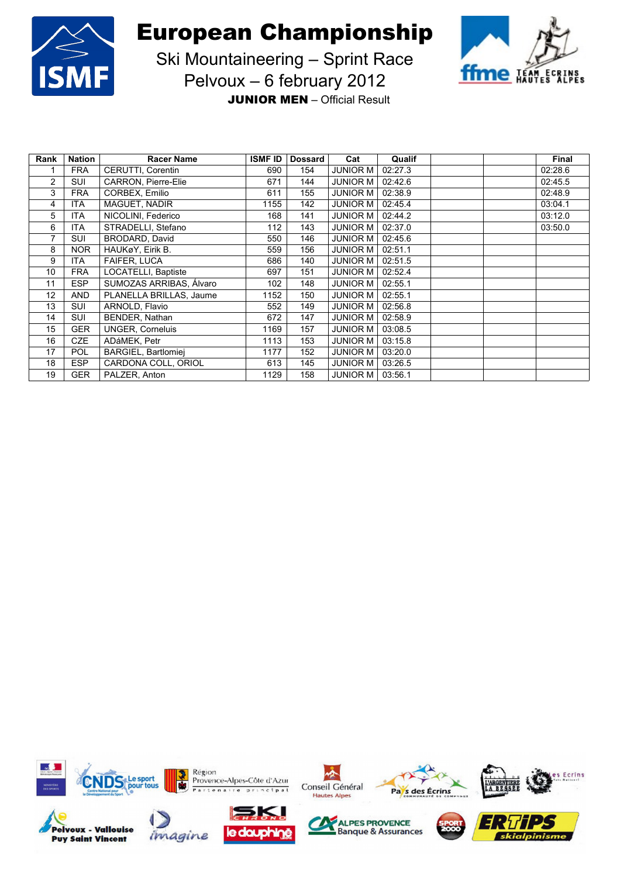



Ski Mountaineering – Sprint Race Pelvoux – 6 february 2012

**JUNIOR MEN** – Official Result

| Rank | <b>Nation</b> | <b>Racer Name</b>       | <b>ISMF ID</b> | <b>Dossard</b> | Cat             | Qualif  | <b>Final</b> |
|------|---------------|-------------------------|----------------|----------------|-----------------|---------|--------------|
|      | <b>FRA</b>    | CERUTTI, Corentin       | 690            | 154            | <b>JUNIOR M</b> | 02:27.3 | 02:28.6      |
| 2    | SUI           | CARRON, Pierre-Elie     | 671            | 144            | <b>JUNIOR M</b> | 02:42.6 | 02:45.5      |
| 3    | <b>FRA</b>    | CORBEX, Emilio          | 611            | 155            | <b>JUNIOR M</b> | 02:38.9 | 02:48.9      |
| 4    | <b>ITA</b>    | MAGUET, NADIR           | 1155           | 142            | <b>JUNIOR M</b> | 02:45.4 | 03:04.1      |
| 5    | <b>ITA</b>    | NICOLINI, Federico      | 168            | 141            | <b>JUNIOR M</b> | 02:44.2 | 03:12.0      |
| 6    | <b>ITA</b>    | STRADELLI, Stefano      | 112            | 143            | <b>JUNIOR M</b> | 02:37.0 | 03:50.0      |
| 7    | SUI           | BRODARD, David          | 550            | 146            | <b>JUNIOR M</b> | 02:45.6 |              |
| 8    | <b>NOR</b>    | HAUKøY. Eirik B.        | 559            | 156            | <b>JUNIOR M</b> | 02:51.1 |              |
| 9    | <b>ITA</b>    | FAIFER, LUCA            | 686            | 140            | <b>JUNIOR M</b> | 02:51.5 |              |
| 10   | <b>FRA</b>    | LOCATELLI, Baptiste     | 697            | 151            | <b>JUNIOR M</b> | 02:52.4 |              |
| 11   | <b>ESP</b>    | SUMOZAS ARRIBAS, Álvaro | 102            | 148            | <b>JUNIOR M</b> | 02:55.1 |              |
| 12   | <b>AND</b>    | PLANELLA BRILLAS, Jaume | 1152           | 150            | <b>JUNIOR M</b> | 02:55.1 |              |
| 13   | SUI           | ARNOLD, Flavio          | 552            | 149            | <b>JUNIOR M</b> | 02:56.8 |              |
| 14   | SUI           | BENDER, Nathan          | 672            | 147            | <b>JUNIOR M</b> | 02:58.9 |              |
| 15   | <b>GER</b>    | <b>UNGER, Corneluis</b> | 1169           | 157            | <b>JUNIOR M</b> | 03:08.5 |              |
| 16   | <b>CZE</b>    | ADáMEK, Petr            | 1113           | 153            | <b>JUNIOR M</b> | 03:15.8 |              |
| 17   | <b>POL</b>    | BARGIEL, Bartlomiej     | 1177           | 152            | <b>JUNIOR M</b> | 03:20.0 |              |
| 18   | <b>ESP</b>    | CARDONA COLL, ORIOL     | 613            | 145            | <b>JUNIOR M</b> | 03:26.5 |              |
| 19   | <b>GER</b>    | PALZER, Anton           | 1129           | 158            | <b>JUNIOR M</b> | 03:56.1 |              |











办





Ecrins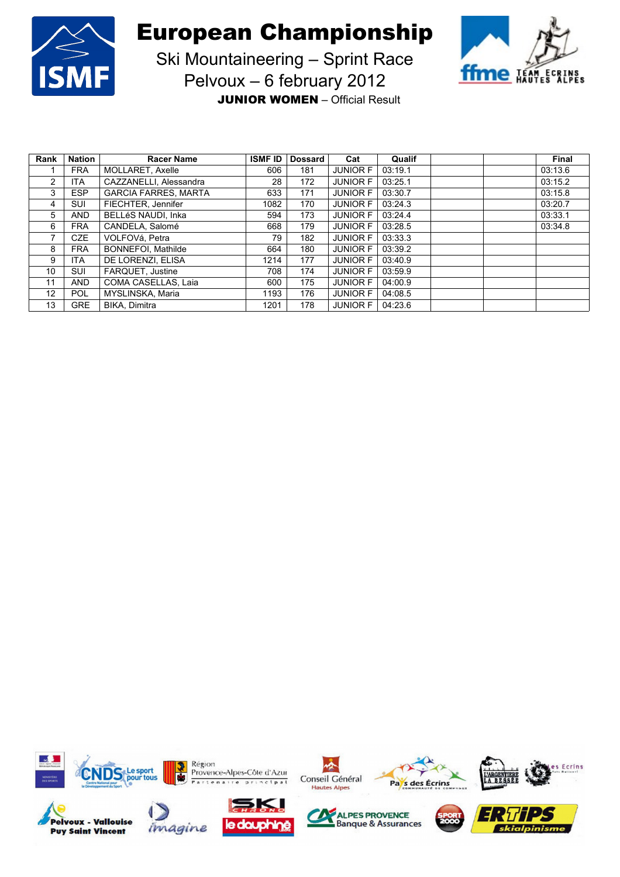



Ski Mountaineering – Sprint Race Pelvoux – 6 february 2012

**JUNIOR WOMEN** – Official Result

| Rank              | <b>Nation</b> | <b>Racer Name</b>           | <b>ISMF ID</b> | <b>Dossard</b> | Cat             | Qualif  |  | <b>Final</b> |
|-------------------|---------------|-----------------------------|----------------|----------------|-----------------|---------|--|--------------|
|                   | <b>FRA</b>    | MOLLARET, Axelle            | 606            | 181            | <b>JUNIOR F</b> | 03:19.1 |  | 03:13.6      |
| 2                 | <b>ITA</b>    | CAZZANELLI, Alessandra      | 28             | 172            | <b>JUNIOR F</b> | 03:25.1 |  | 03:15.2      |
| 3                 | <b>ESP</b>    | <b>GARCIA FARRES, MARTA</b> | 633            | 171            | <b>JUNIOR F</b> | 03:30.7 |  | 03:15.8      |
| 4                 | <b>SUI</b>    | FIECHTER, Jennifer          | 1082           | 170            | <b>JUNIOR F</b> | 03:24.3 |  | 03:20.7      |
| 5                 | <b>AND</b>    | <b>BELLéS NAUDI. Inka</b>   | 594            | 173            | <b>JUNIOR F</b> | 03:24.4 |  | 03:33.1      |
| 6                 | <b>FRA</b>    | CANDELA, Salomé             | 668            | 179            | <b>JUNIOR F</b> | 03:28.5 |  | 03:34.8      |
| 7                 | <b>CZE</b>    | VOLFOVá, Petra              | 79             | 182            | <b>JUNIOR F</b> | 03:33.3 |  |              |
| 8                 | <b>FRA</b>    | BONNEFOI, Mathilde          | 664            | 180            | <b>JUNIOR F</b> | 03:39.2 |  |              |
| 9                 | <b>ITA</b>    | DE LORENZI, ELISA           | 1214           | 177            | <b>JUNIOR F</b> | 03:40.9 |  |              |
| 10                | <b>SUI</b>    | FARQUET, Justine            | 708            | 174            | <b>JUNIOR F</b> | 03:59.9 |  |              |
| 11                | <b>AND</b>    | COMA CASELLAS, Laia         | 600            | 175            | <b>JUNIOR F</b> | 04:00.9 |  |              |
| $12 \overline{ }$ | <b>POL</b>    | MYSLINSKA, Maria            | 1193           | 176            | <b>JUNIOR F</b> | 04:08.5 |  |              |
| 13                | <b>GRE</b>    | <b>BIKA, Dimitra</b>        | 1201           | 178            | <b>JUNIOR F</b> | 04:23.6 |  |              |

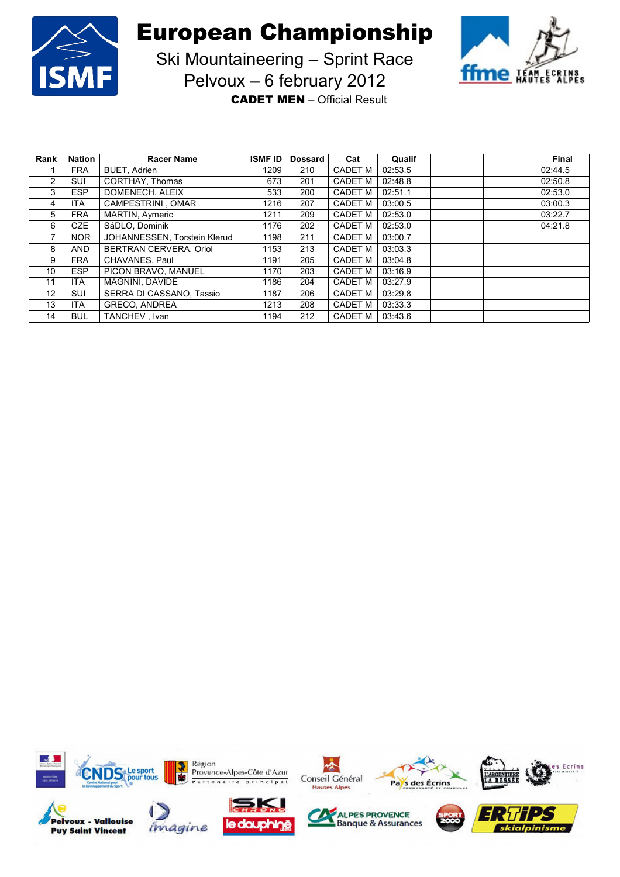



Ski Mountaineering – Sprint Race Pelvoux – 6 february 2012

**CADET MEN** – Official Result

| Rank              | <b>Nation</b> | <b>Racer Name</b>            | <b>ISMF ID</b> | <b>Dossard</b> | Cat            | Qualif  |  | Final   |
|-------------------|---------------|------------------------------|----------------|----------------|----------------|---------|--|---------|
|                   | <b>FRA</b>    | <b>BUET, Adrien</b>          | 1209           | 210            | <b>CADET M</b> | 02:53.5 |  | 02:44.5 |
| 2                 | <b>SUI</b>    | CORTHAY, Thomas              | 673            | 201            | <b>CADET M</b> | 02:48.8 |  | 02:50.8 |
| 3                 | <b>ESP</b>    | DOMENECH, ALEIX              | 533            | 200            | <b>CADET M</b> | 02:51.1 |  | 02:53.0 |
| 4                 | <b>ITA</b>    | CAMPESTRINI OMAR             | 1216           | 207            | <b>CADET M</b> | 03:00.5 |  | 03:00.3 |
| 5                 | <b>FRA</b>    | MARTIN, Aymeric              | 1211           | 209            | <b>CADET M</b> | 02:53.0 |  | 03:22.7 |
| 6                 | <b>CZE</b>    | SáDLO, Dominik               | 1176           | 202            | <b>CADET M</b> | 02:53.0 |  | 04:21.8 |
| 7                 | <b>NOR</b>    | JOHANNESSEN, Torstein Klerud | 1198           | 211            | <b>CADET M</b> | 03:00.7 |  |         |
| 8                 | <b>AND</b>    | BERTRAN CERVERA, Oriol       | 1153           | 213            | <b>CADET M</b> | 03:03.3 |  |         |
| 9                 | <b>FRA</b>    | CHAVANES, Paul               | 1191           | 205            | <b>CADET M</b> | 03:04.8 |  |         |
| 10 <sup>°</sup>   | <b>ESP</b>    | PICON BRAVO, MANUEL          | 1170           | 203            | <b>CADET M</b> | 03:16.9 |  |         |
| 11                | <b>ITA</b>    | <b>MAGNINI, DAVIDE</b>       | 1186           | 204            | <b>CADET M</b> | 03:27.9 |  |         |
| $12 \overline{ }$ | <b>SUI</b>    | SERRA DI CASSANO. Tassio     | 1187           | 206            | <b>CADET M</b> | 03:29.8 |  |         |
| 13                | <b>ITA</b>    | <b>GRECO, ANDREA</b>         | 1213           | 208            | <b>CADET M</b> | 03:33.3 |  |         |
| 14                | <b>BUL</b>    | TANCHEV . Ivan               | 1194           | 212            | <b>CADET M</b> | 03:43.6 |  |         |